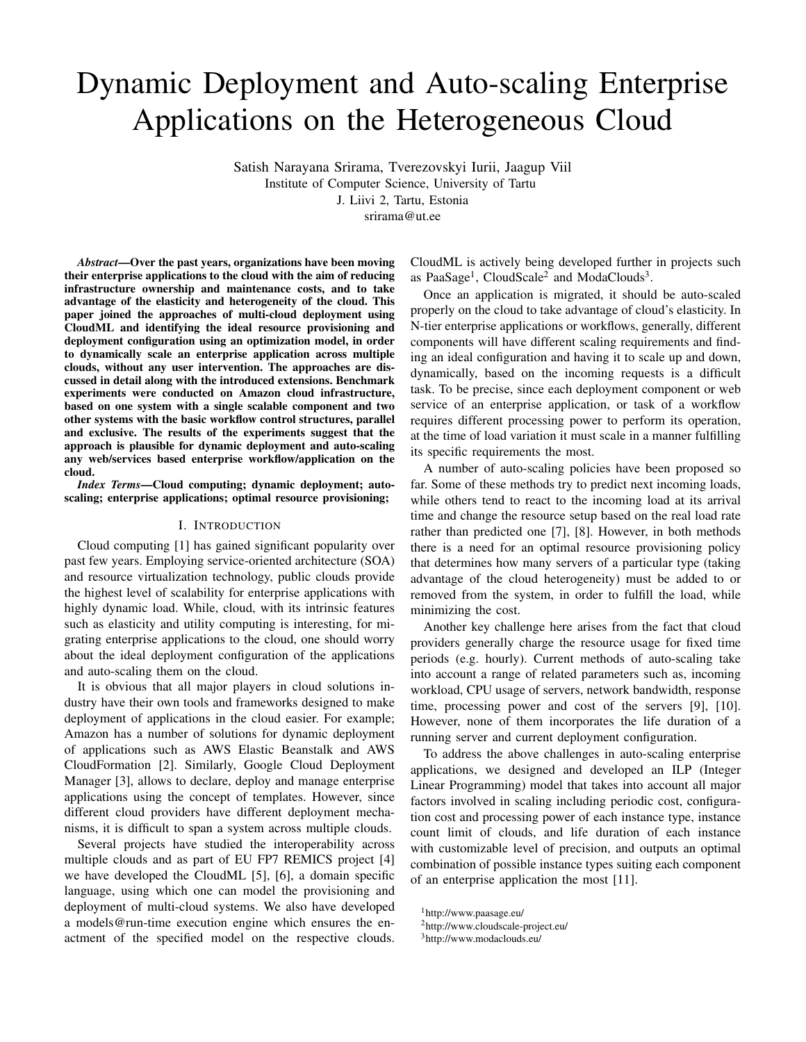# Dynamic Deployment and Auto-scaling Enterprise Applications on the Heterogeneous Cloud

Satish Narayana Srirama, Tverezovskyi Iurii, Jaagup Viil Institute of Computer Science, University of Tartu J. Liivi 2, Tartu, Estonia srirama@ut.ee

*Abstract*—Over the past years, organizations have been moving their enterprise applications to the cloud with the aim of reducing infrastructure ownership and maintenance costs, and to take advantage of the elasticity and heterogeneity of the cloud. This paper joined the approaches of multi-cloud deployment using CloudML and identifying the ideal resource provisioning and deployment configuration using an optimization model, in order to dynamically scale an enterprise application across multiple clouds, without any user intervention. The approaches are discussed in detail along with the introduced extensions. Benchmark experiments were conducted on Amazon cloud infrastructure, based on one system with a single scalable component and two other systems with the basic workflow control structures, parallel and exclusive. The results of the experiments suggest that the approach is plausible for dynamic deployment and auto-scaling any web/services based enterprise workflow/application on the cloud.

*Index Terms*—Cloud computing; dynamic deployment; autoscaling; enterprise applications; optimal resource provisioning;

### I. INTRODUCTION

Cloud computing [1] has gained significant popularity over past few years. Employing service-oriented architecture (SOA) and resource virtualization technology, public clouds provide the highest level of scalability for enterprise applications with highly dynamic load. While, cloud, with its intrinsic features such as elasticity and utility computing is interesting, for migrating enterprise applications to the cloud, one should worry about the ideal deployment configuration of the applications and auto-scaling them on the cloud.

It is obvious that all major players in cloud solutions industry have their own tools and frameworks designed to make deployment of applications in the cloud easier. For example; Amazon has a number of solutions for dynamic deployment of applications such as AWS Elastic Beanstalk and AWS CloudFormation [2]. Similarly, Google Cloud Deployment Manager [3], allows to declare, deploy and manage enterprise applications using the concept of templates. However, since different cloud providers have different deployment mechanisms, it is difficult to span a system across multiple clouds.

Several projects have studied the interoperability across multiple clouds and as part of EU FP7 REMICS project [4] we have developed the CloudML [5], [6], a domain specific language, using which one can model the provisioning and deployment of multi-cloud systems. We also have developed a models@run-time execution engine which ensures the enactment of the specified model on the respective clouds. CloudML is actively being developed further in projects such as PaaSage<sup>1</sup>, CloudScale<sup>2</sup> and ModaClouds<sup>3</sup>.

Once an application is migrated, it should be auto-scaled properly on the cloud to take advantage of cloud's elasticity. In N-tier enterprise applications or workflows, generally, different components will have different scaling requirements and finding an ideal configuration and having it to scale up and down, dynamically, based on the incoming requests is a difficult task. To be precise, since each deployment component or web service of an enterprise application, or task of a workflow requires different processing power to perform its operation, at the time of load variation it must scale in a manner fulfilling its specific requirements the most.

A number of auto-scaling policies have been proposed so far. Some of these methods try to predict next incoming loads, while others tend to react to the incoming load at its arrival time and change the resource setup based on the real load rate rather than predicted one [7], [8]. However, in both methods there is a need for an optimal resource provisioning policy that determines how many servers of a particular type (taking advantage of the cloud heterogeneity) must be added to or removed from the system, in order to fulfill the load, while minimizing the cost.

Another key challenge here arises from the fact that cloud providers generally charge the resource usage for fixed time periods (e.g. hourly). Current methods of auto-scaling take into account a range of related parameters such as, incoming workload, CPU usage of servers, network bandwidth, response time, processing power and cost of the servers [9], [10]. However, none of them incorporates the life duration of a running server and current deployment configuration.

To address the above challenges in auto-scaling enterprise applications, we designed and developed an ILP (Integer Linear Programming) model that takes into account all major factors involved in scaling including periodic cost, configuration cost and processing power of each instance type, instance count limit of clouds, and life duration of each instance with customizable level of precision, and outputs an optimal combination of possible instance types suiting each component of an enterprise application the most [11].

<sup>1</sup>http://www.paasage.eu/

<sup>2</sup>http://www.cloudscale-project.eu/

<sup>3</sup>http://www.modaclouds.eu/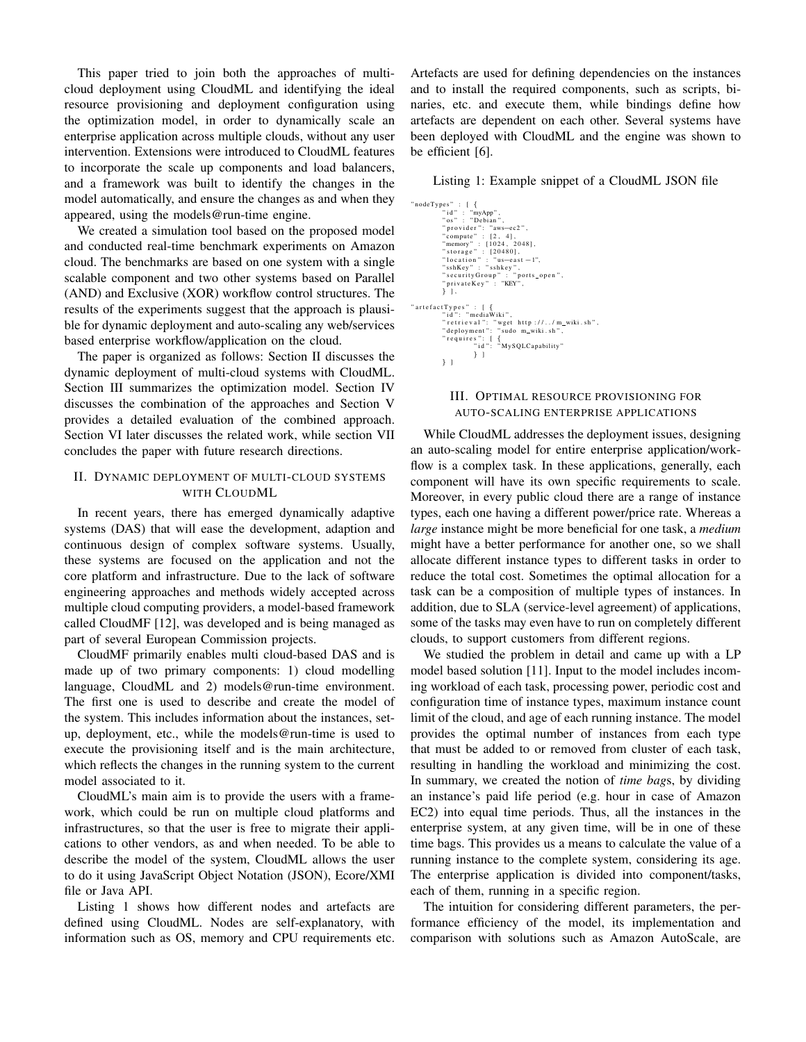This paper tried to join both the approaches of multicloud deployment using CloudML and identifying the ideal resource provisioning and deployment configuration using the optimization model, in order to dynamically scale an enterprise application across multiple clouds, without any user intervention. Extensions were introduced to CloudML features to incorporate the scale up components and load balancers, and a framework was built to identify the changes in the model automatically, and ensure the changes as and when they appeared, using the models@run-time engine.

We created a simulation tool based on the proposed model and conducted real-time benchmark experiments on Amazon cloud. The benchmarks are based on one system with a single scalable component and two other systems based on Parallel (AND) and Exclusive (XOR) workflow control structures. The results of the experiments suggest that the approach is plausible for dynamic deployment and auto-scaling any web/services based enterprise workflow/application on the cloud.

The paper is organized as follows: Section II discusses the dynamic deployment of multi-cloud systems with CloudML. Section III summarizes the optimization model. Section IV discusses the combination of the approaches and Section V provides a detailed evaluation of the combined approach. Section VI later discusses the related work, while section VII concludes the paper with future research directions.

# II. DYNAMIC DEPLOYMENT OF MULTI-CLOUD SYSTEMS WITH CLOUDML

In recent years, there has emerged dynamically adaptive systems (DAS) that will ease the development, adaption and continuous design of complex software systems. Usually, these systems are focused on the application and not the core platform and infrastructure. Due to the lack of software engineering approaches and methods widely accepted across multiple cloud computing providers, a model-based framework called CloudMF [12], was developed and is being managed as part of several European Commission projects.

CloudMF primarily enables multi cloud-based DAS and is made up of two primary components: 1) cloud modelling language, CloudML and 2) models@run-time environment. The first one is used to describe and create the model of the system. This includes information about the instances, setup, deployment, etc., while the models@run-time is used to execute the provisioning itself and is the main architecture, which reflects the changes in the running system to the current model associated to it.

CloudML's main aim is to provide the users with a framework, which could be run on multiple cloud platforms and infrastructures, so that the user is free to migrate their applications to other vendors, as and when needed. To be able to describe the model of the system, CloudML allows the user to do it using JavaScript Object Notation (JSON), Ecore/XMI file or Java API.

Listing 1 shows how different nodes and artefacts are defined using CloudML. Nodes are self-explanatory, with information such as OS, memory and CPU requirements etc. Artefacts are used for defining dependencies on the instances and to install the required components, such as scripts, binaries, etc. and execute them, while bindings define how artefacts are dependent on each other. Several systems have been deployed with CloudML and the engine was shown to be efficient [6].

#### Listing 1: Example snippet of a CloudML JSON file

```
"nodeTypes": [\begin{array}{c} \text{"no-3}\end{array}]\text{''} "id" : "myApp",<br>"\text{``s''} : "Debian",<br>"provider": "aws-ec2",<br>"compute" : [2, 4],<br>"memory": [1024, 2048],<br>"storage" : [20480],<br>"location" : "us-east -1",<br>"sseurityGroup" : "ports
" artefactTypes" : [ {<br>"id": "mediaWiki".
                                 " id ": "mediaWiki",<br>"retrieval": "wget http://../m_wiki.sh",<br>"deployment": "sudo m_wiki.sh",<br>"requires": I {<br>"id": "MySQLCapability"
                                                              } ]
                              } ]
```
# III. OPTIMAL RESOURCE PROVISIONING FOR AUTO-SCALING ENTERPRISE APPLICATIONS

While CloudML addresses the deployment issues, designing an auto-scaling model for entire enterprise application/workflow is a complex task. In these applications, generally, each component will have its own specific requirements to scale. Moreover, in every public cloud there are a range of instance types, each one having a different power/price rate. Whereas a *large* instance might be more beneficial for one task, a *medium* might have a better performance for another one, so we shall allocate different instance types to different tasks in order to reduce the total cost. Sometimes the optimal allocation for a task can be a composition of multiple types of instances. In addition, due to SLA (service-level agreement) of applications, some of the tasks may even have to run on completely different clouds, to support customers from different regions.

We studied the problem in detail and came up with a LP model based solution [11]. Input to the model includes incoming workload of each task, processing power, periodic cost and configuration time of instance types, maximum instance count limit of the cloud, and age of each running instance. The model provides the optimal number of instances from each type that must be added to or removed from cluster of each task, resulting in handling the workload and minimizing the cost. In summary, we created the notion of *time bag*s, by dividing an instance's paid life period (e.g. hour in case of Amazon EC2) into equal time periods. Thus, all the instances in the enterprise system, at any given time, will be in one of these time bags. This provides us a means to calculate the value of a running instance to the complete system, considering its age. The enterprise application is divided into component/tasks, each of them, running in a specific region.

The intuition for considering different parameters, the performance efficiency of the model, its implementation and comparison with solutions such as Amazon AutoScale, are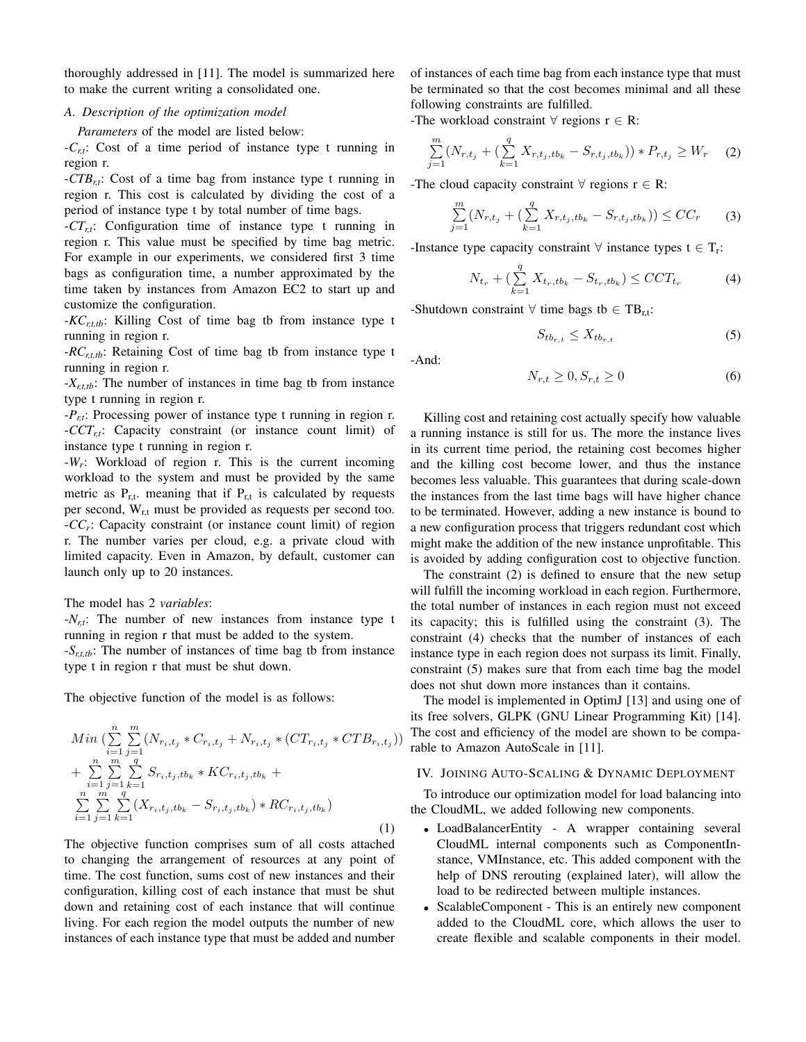thoroughly addressed in [11]. The model is summarized here to make the current writing a consolidated one.

#### *A. Description of the optimization model*

*Parameters* of the model are listed below:

-*Cr,t*: Cost of a time period of instance type t running in region r.

-*CTBr,t*: Cost of a time bag from instance type t running in region r. This cost is calculated by dividing the cost of a period of instance type t by total number of time bags.

-*CTr,t*: Configuration time of instance type t running in region r. This value must be specified by time bag metric. For example in our experiments, we considered first 3 time bags as configuration time, a number approximated by the time taken by instances from Amazon EC2 to start up and customize the configuration.

-*KCr,t,tb*: Killing Cost of time bag tb from instance type t running in region r.

-*RCr,t,tb*: Retaining Cost of time bag tb from instance type t running in region r.

-*Xr,t,tb*: The number of instances in time bag tb from instance type t running in region r.

-*Pr,t*: Processing power of instance type t running in region r. -*CCTr,t*: Capacity constraint (or instance count limit) of instance type t running in region r.

-*W<sup>r</sup>* : Workload of region r. This is the current incoming workload to the system and must be provided by the same metric as  $P_{r,t}$ . meaning that if  $P_{r,t}$  is calculated by requests per second,  $W_{r,t}$  must be provided as requests per second too. -*CC<sup>r</sup>* : Capacity constraint (or instance count limit) of region r. The number varies per cloud, e.g. a private cloud with limited capacity. Even in Amazon, by default, customer can launch only up to 20 instances.

#### The model has 2 *variables*:

-*Nr,t*: The number of new instances from instance type t running in region r that must be added to the system.

-*Sr,t,tb*: The number of instances of time bag tb from instance type t in region r that must be shut down.

The objective function of the model is as follows:

$$
Min\left(\sum_{i=1}^{n}\sum_{j=1}^{m} (N_{r_i,t_j} * C_{r_i,t_j} + N_{r_i,t_j} * (CT_{r_i,t_j} * CTB_{r_i,t_j}))\right) + \sum_{i=1}^{n}\sum_{j=1}^{m}\sum_{k=1}^{q} S_{r_i,t_j,tb_k} * KC_{r_i,t_j,tb_k} + \sum_{i=1}^{n}\sum_{j=1}^{m}\sum_{k=1}^{q} (X_{r_i,t_j,tb_k} - S_{r_i,t_j,tb_k}) * RC_{r_i,t_j,tb_k})
$$
\n(1)

The objective function comprises sum of all costs attached to changing the arrangement of resources at any point of time. The cost function, sums cost of new instances and their configuration, killing cost of each instance that must be shut down and retaining cost of each instance that will continue living. For each region the model outputs the number of new instances of each instance type that must be added and number of instances of each time bag from each instance type that must be terminated so that the cost becomes minimal and all these following constraints are fulfilled.

-The workload constraint  $\forall$  regions  $r \in R$ :

$$
\sum_{j=1}^{m} (N_{r,t_j} + (\sum_{k=1}^{q} X_{r,t_j,tb_k} - S_{r,t_j,tb_k})) * P_{r,t_j} \ge W_r
$$
 (2)

-The cloud capacity constraint  $\forall$  regions  $r \in R$ :

$$
\sum_{j=1}^{m} (N_{r,t_j} + (\sum_{k=1}^{q} X_{r,t_j,tb_k} - S_{r,t_j,tb_k})) \le CC_r
$$
 (3)

-Instance type capacity constraint  $\forall$  instance types  $t \in T_r$ :

$$
N_{t_r} + \left(\sum_{k=1}^{q} X_{t_r, tb_k} - S_{t_r, tb_k}\right) \le CCT_{t_r}
$$
 (4)

-Shutdown constraint  $\forall$  time bags tb  $\in$  TB<sub>r,t</sub>:

$$
S_{tb_{r,t}} \le X_{tb_{r,t}} \tag{5}
$$

-And:

$$
N_{r,t} \ge 0, S_{r,t} \ge 0 \tag{6}
$$

Killing cost and retaining cost actually specify how valuable a running instance is still for us. The more the instance lives in its current time period, the retaining cost becomes higher and the killing cost become lower, and thus the instance becomes less valuable. This guarantees that during scale-down the instances from the last time bags will have higher chance to be terminated. However, adding a new instance is bound to a new configuration process that triggers redundant cost which might make the addition of the new instance unprofitable. This is avoided by adding configuration cost to objective function.

The constraint (2) is defined to ensure that the new setup will fulfill the incoming workload in each region. Furthermore, the total number of instances in each region must not exceed its capacity; this is fulfilled using the constraint (3). The constraint (4) checks that the number of instances of each instance type in each region does not surpass its limit. Finally, constraint (5) makes sure that from each time bag the model does not shut down more instances than it contains.

The model is implemented in OptimJ [13] and using one of its free solvers, GLPK (GNU Linear Programming Kit) [14]. The cost and efficiency of the model are shown to be comparable to Amazon AutoScale in [11].

#### IV. JOINING AUTO-SCALING & DYNAMIC DEPLOYMENT

To introduce our optimization model for load balancing into the CloudML, we added following new components.

- LoadBalancerEntity A wrapper containing several CloudML internal components such as ComponentInstance, VMInstance, etc. This added component with the help of DNS rerouting (explained later), will allow the load to be redirected between multiple instances.
- ScalableComponent This is an entirely new component added to the CloudML core, which allows the user to create flexible and scalable components in their model.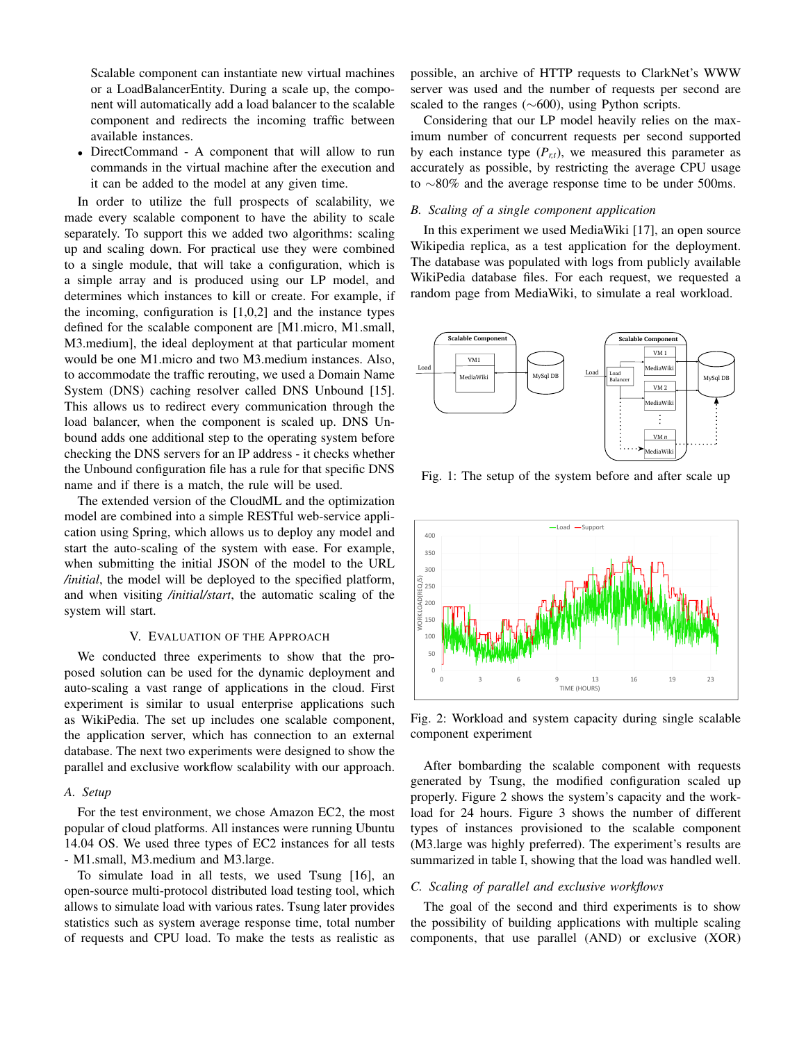Scalable component can instantiate new virtual machines or a LoadBalancerEntity. During a scale up, the component will automatically add a load balancer to the scalable component and redirects the incoming traffic between available instances.

• DirectCommand - A component that will allow to run commands in the virtual machine after the execution and it can be added to the model at any given time.

In order to utilize the full prospects of scalability, we made every scalable component to have the ability to scale separately. To support this we added two algorithms: scaling up and scaling down. For practical use they were combined to a single module, that will take a configuration, which is a simple array and is produced using our LP model, and determines which instances to kill or create. For example, if the incoming, configuration is  $[1,0,2]$  and the instance types defined for the scalable component are [M1.micro, M1.small, M3.medium], the ideal deployment at that particular moment would be one M1.micro and two M3.medium instances. Also, to accommodate the traffic rerouting, we used a Domain Name System (DNS) caching resolver called DNS Unbound [15]. This allows us to redirect every communication through the load balancer, when the component is scaled up. DNS Unbound adds one additional step to the operating system before checking the DNS servers for an IP address - it checks whether the Unbound configuration file has a rule for that specific DNS name and if there is a match, the rule will be used.

The extended version of the CloudML and the optimization model are combined into a simple RESTful web-service application using Spring, which allows us to deploy any model and start the auto-scaling of the system with ease. For example, when submitting the initial JSON of the model to the URL */initial*, the model will be deployed to the specified platform, and when visiting */initial/start*, the automatic scaling of the system will start.

#### V. EVALUATION OF THE APPROACH

We conducted three experiments to show that the proposed solution can be used for the dynamic deployment and auto-scaling a vast range of applications in the cloud. First experiment is similar to usual enterprise applications such as WikiPedia. The set up includes one scalable component, the application server, which has connection to an external database. The next two experiments were designed to show the parallel and exclusive workflow scalability with our approach.

#### *A. Setup*

For the test environment, we chose Amazon EC2, the most popular of cloud platforms. All instances were running Ubuntu 14.04 OS. We used three types of EC2 instances for all tests - M1.small, M3.medium and M3.large.

To simulate load in all tests, we used Tsung [16], an open-source multi-protocol distributed load testing tool, which allows to simulate load with various rates. Tsung later provides statistics such as system average response time, total number of requests and CPU load. To make the tests as realistic as possible, an archive of HTTP requests to ClarkNet's WWW server was used and the number of requests per second are scaled to the ranges ( $\sim$ 600), using Python scripts.

Considering that our LP model heavily relies on the maximum number of concurrent requests per second supported by each instance type  $(P_{rt})$ , we measured this parameter as accurately as possible, by restricting the average CPU usage to ∼80% and the average response time to be under 500ms.

## *B. Scaling of a single component application*

In this experiment we used MediaWiki [17], an open source Wikipedia replica, as a test application for the deployment. The database was populated with logs from publicly available WikiPedia database files. For each request, we requested a random page from MediaWiki, to simulate a real workload.



Fig. 1: The setup of the system before and after scale up



Fig. 2: Workload and system capacity during single scalable component experiment

After bombarding the scalable component with requests generated by Tsung, the modified configuration scaled up properly. Figure 2 shows the system's capacity and the workload for 24 hours. Figure 3 shows the number of different types of instances provisioned to the scalable component (M3.large was highly preferred). The experiment's results are summarized in table I, showing that the load was handled well.

#### *C. Scaling of parallel and exclusive workflows*

The goal of the second and third experiments is to show the possibility of building applications with multiple scaling components, that use parallel (AND) or exclusive (XOR)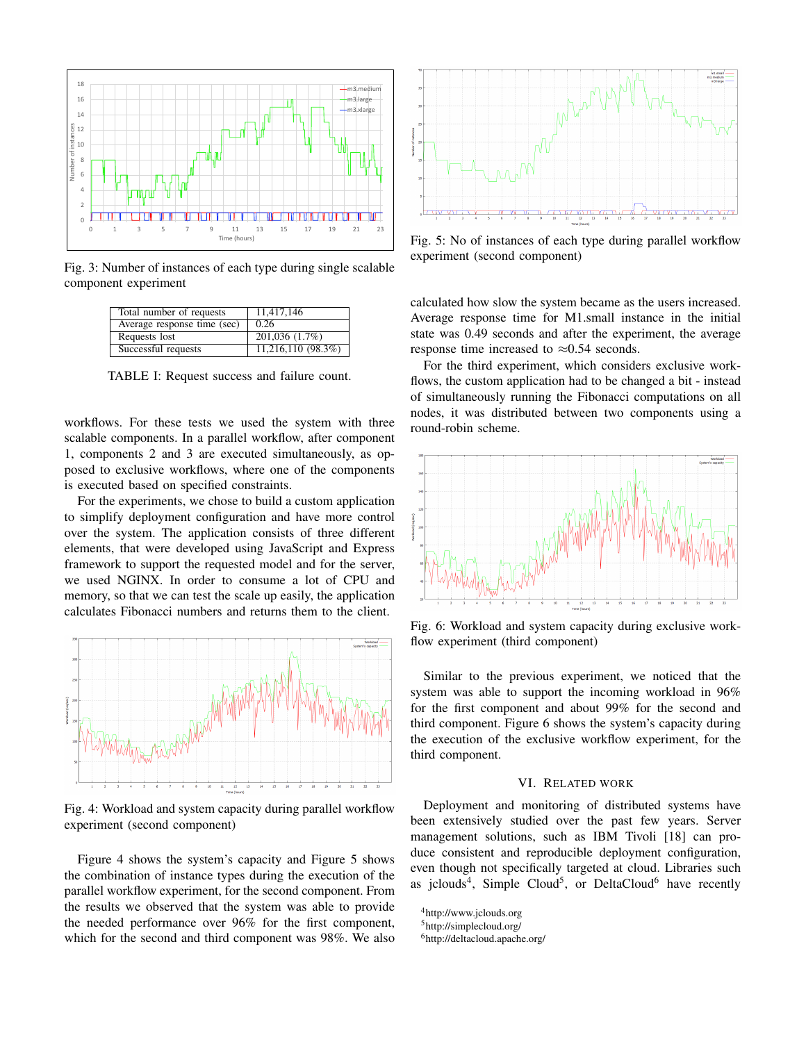

Fig. 3: Number of instances of each type during single scalable component experiment

| Total number of requests    | 11,417,146        |
|-----------------------------|-------------------|
| Average response time (sec) | 0.26              |
| Requests lost               | 201,036 (1.7%)    |
| Successful requests         | 11,216,110(98.3%) |

TABLE I: Request success and failure count.

workflows. For these tests we used the system with three scalable components. In a parallel workflow, after component 1, components 2 and 3 are executed simultaneously, as opposed to exclusive workflows, where one of the components is executed based on specified constraints.

For the experiments, we chose to build a custom application to simplify deployment configuration and have more control over the system. The application consists of three different elements, that were developed using JavaScript and Express framework to support the requested model and for the server, we used NGINX. In order to consume a lot of CPU and memory, so that we can test the scale up easily, the application calculates Fibonacci numbers and returns them to the client.



Fig. 4: Workload and system capacity during parallel workflow experiment (second component)

Figure 4 shows the system's capacity and Figure 5 shows the combination of instance types during the execution of the parallel workflow experiment, for the second component. From the results we observed that the system was able to provide the needed performance over 96% for the first component, which for the second and third component was 98%. We also



Fig. 5: No of instances of each type during parallel workflow experiment (second component)

calculated how slow the system became as the users increased. Average response time for M1.small instance in the initial state was 0.49 seconds and after the experiment, the average response time increased to  $\approx 0.54$  seconds.

For the third experiment, which considers exclusive workflows, the custom application had to be changed a bit - instead of simultaneously running the Fibonacci computations on all nodes, it was distributed between two components using a round-robin scheme.



Fig. 6: Workload and system capacity during exclusive workflow experiment (third component)

Similar to the previous experiment, we noticed that the system was able to support the incoming workload in 96% for the first component and about 99% for the second and third component. Figure 6 shows the system's capacity during the execution of the exclusive workflow experiment, for the third component.

# VI. RELATED WORK

Deployment and monitoring of distributed systems have been extensively studied over the past few years. Server management solutions, such as IBM Tivoli [18] can produce consistent and reproducible deployment configuration, even though not specifically targeted at cloud. Libraries such as jclouds<sup>4</sup>, Simple Cloud<sup>5</sup>, or DeltaCloud<sup>6</sup> have recently

<sup>4</sup>http://www.jclouds.org

<sup>5</sup>http://simplecloud.org/

<sup>6</sup>http://deltacloud.apache.org/